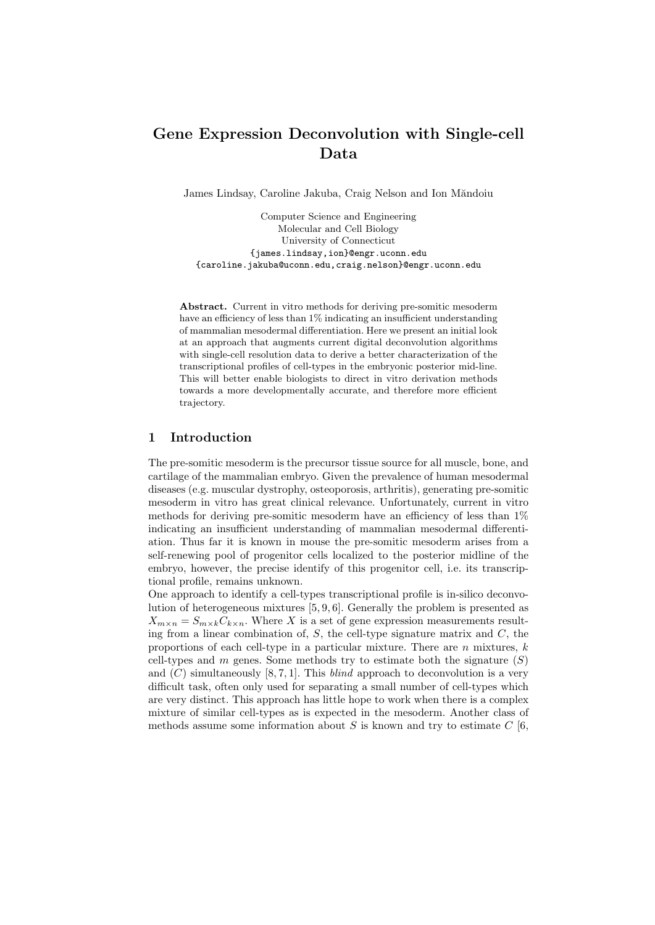# Gene Expression Deconvolution with Single-cell Data

James Lindsay, Caroline Jakuba, Craig Nelson and Ion Măndoiu

Computer Science and Engineering Molecular and Cell Biology University of Connecticut {james.lindsay,ion}@engr.uconn.edu {caroline.jakuba@uconn.edu,craig.nelson}@engr.uconn.edu

Abstract. Current in vitro methods for deriving pre-somitic mesoderm have an efficiency of less than 1% indicating an insufficient understanding of mammalian mesodermal differentiation. Here we present an initial look at an approach that augments current digital deconvolution algorithms with single-cell resolution data to derive a better characterization of the transcriptional profiles of cell-types in the embryonic posterior mid-line. This will better enable biologists to direct in vitro derivation methods towards a more developmentally accurate, and therefore more efficient trajectory.

## 1 Introduction

The pre-somitic mesoderm is the precursor tissue source for all muscle, bone, and cartilage of the mammalian embryo. Given the prevalence of human mesodermal diseases (e.g. muscular dystrophy, osteoporosis, arthritis), generating pre-somitic mesoderm in vitro has great clinical relevance. Unfortunately, current in vitro methods for deriving pre-somitic mesoderm have an efficiency of less than  $1\%$ indicating an insufficient understanding of mammalian mesodermal differentiation. Thus far it is known in mouse the pre-somitic mesoderm arises from a self-renewing pool of progenitor cells localized to the posterior midline of the embryo, however, the precise identify of this progenitor cell, i.e. its transcriptional profile, remains unknown.

One approach to identify a cell-types transcriptional profile is in-silico deconvolution of heterogeneous mixtures [5, 9, 6]. Generally the problem is presented as  $X_{m \times n} = S_{m \times k} C_{k \times n}$ . Where X is a set of gene expression measurements resulting from a linear combination of,  $S$ , the cell-type signature matrix and  $C$ , the proportions of each cell-type in a particular mixture. There are  $n$  mixtures,  $k$ cell-types and m genes. Some methods try to estimate both the signature  $(S)$ and  $(C)$  simultaneously [8, 7, 1]. This *blind* approach to deconvolution is a very difficult task, often only used for separating a small number of cell-types which are very distinct. This approach has little hope to work when there is a complex mixture of similar cell-types as is expected in the mesoderm. Another class of methods assume some information about S is known and try to estimate  $C$  [6,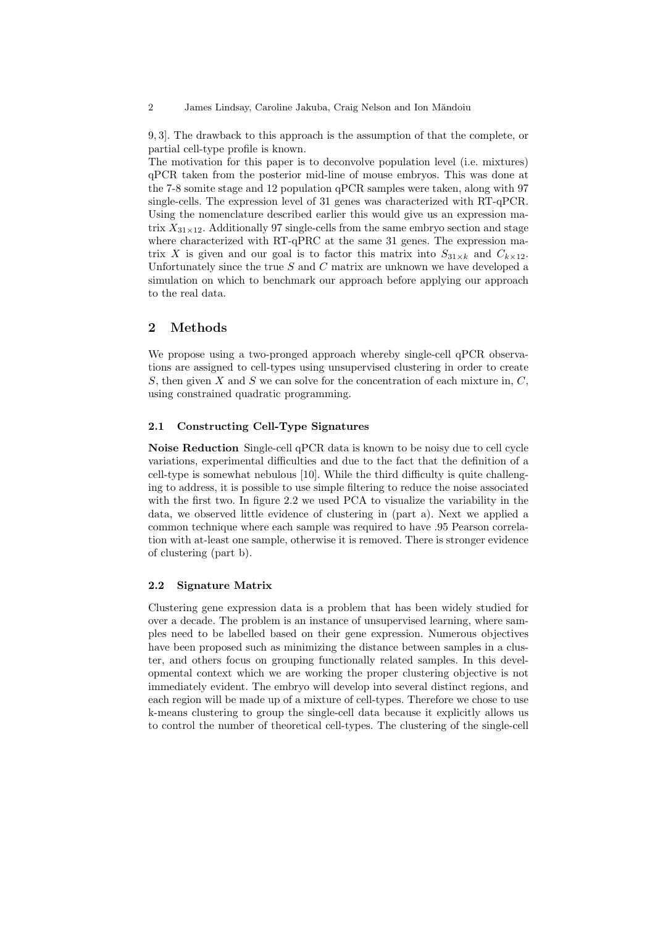9, 3]. The drawback to this approach is the assumption of that the complete, or partial cell-type profile is known.

The motivation for this paper is to deconvolve population level (i.e. mixtures) qPCR taken from the posterior mid-line of mouse embryos. This was done at the 7-8 somite stage and 12 population qPCR samples were taken, along with 97 single-cells. The expression level of 31 genes was characterized with RT-qPCR. Using the nomenclature described earlier this would give us an expression matrix  $X_{31\times12}$ . Additionally 97 single-cells from the same embryo section and stage where characterized with RT-qPRC at the same 31 genes. The expression matrix X is given and our goal is to factor this matrix into  $S_{31\times k}$  and  $C_{k\times 12}$ . Unfortunately since the true  $S$  and  $C$  matrix are unknown we have developed a simulation on which to benchmark our approach before applying our approach to the real data.

# 2 Methods

We propose using a two-pronged approach whereby single-cell qPCR observations are assigned to cell-types using unsupervised clustering in order to create S, then given X and S we can solve for the concentration of each mixture in,  $C$ , using constrained quadratic programming.

## 2.1 Constructing Cell-Type Signatures

Noise Reduction Single-cell qPCR data is known to be noisy due to cell cycle variations, experimental difficulties and due to the fact that the definition of a cell-type is somewhat nebulous [10]. While the third difficulty is quite challenging to address, it is possible to use simple filtering to reduce the noise associated with the first two. In figure 2.2 we used PCA to visualize the variability in the data, we observed little evidence of clustering in (part a). Next we applied a common technique where each sample was required to have .95 Pearson correlation with at-least one sample, otherwise it is removed. There is stronger evidence of clustering (part b).

## 2.2 Signature Matrix

Clustering gene expression data is a problem that has been widely studied for over a decade. The problem is an instance of unsupervised learning, where samples need to be labelled based on their gene expression. Numerous objectives have been proposed such as minimizing the distance between samples in a cluster, and others focus on grouping functionally related samples. In this developmental context which we are working the proper clustering objective is not immediately evident. The embryo will develop into several distinct regions, and each region will be made up of a mixture of cell-types. Therefore we chose to use k-means clustering to group the single-cell data because it explicitly allows us to control the number of theoretical cell-types. The clustering of the single-cell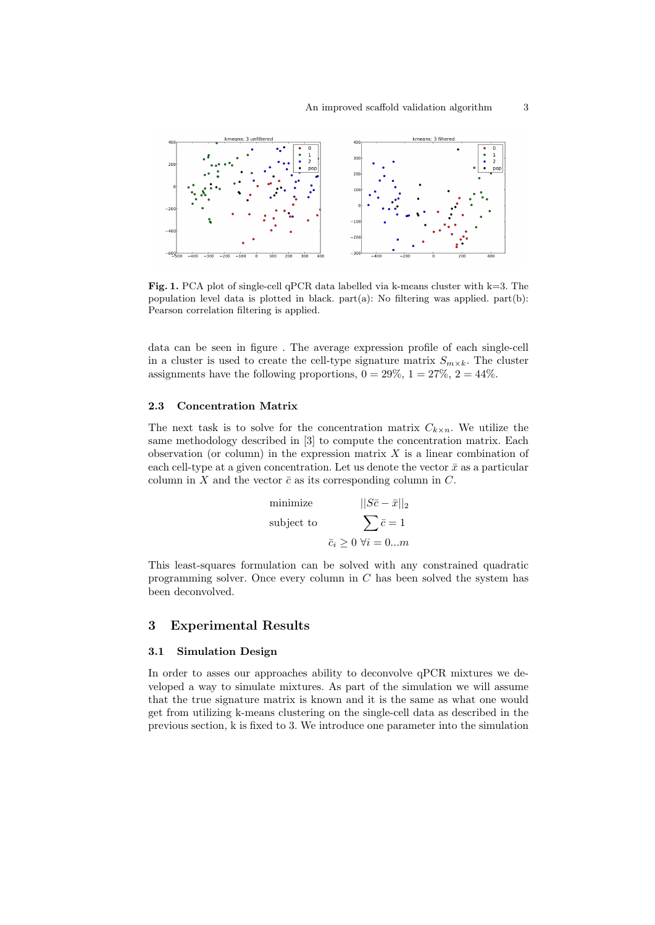

**Fig. 1.** PCA plot of single-cell qPCR data labelled via k-means cluster with  $k=3$ . The population level data is plotted in black. part $(a)$ : No filtering was applied. part $(b)$ : Pearson correlation filtering is applied.

data can be seen in figure . The average expression profile of each single-cell in a cluster is used to create the cell-type signature matrix  $S_{m \times k}$ . The cluster assignments have the following proportions,  $0 = 29\%, 1 = 27\%, 2 = 44\%$ .

## 2.3 Concentration Matrix

The next task is to solve for the concentration matrix  $C_{k\times n}$ . We utilize the same methodology described in [3] to compute the concentration matrix. Each observation (or column) in the expression matrix  $X$  is a linear combination of each cell-type at a given concentration. Let us denote the vector  $\bar{x}$  as a particular column in X and the vector  $\bar{c}$  as its corresponding column in C.

minimize 
$$
||S\bar{c} - \bar{x}||_2
$$
  
subject to 
$$
\sum \bar{c} = 1
$$

$$
\bar{c}_i \ge 0 \ \forall i = 0...m
$$

This least-squares formulation can be solved with any constrained quadratic programming solver. Once every column in C has been solved the system has been deconvolved.

## 3 Experimental Results

## 3.1 Simulation Design

In order to asses our approaches ability to deconvolve qPCR mixtures we developed a way to simulate mixtures. As part of the simulation we will assume that the true signature matrix is known and it is the same as what one would get from utilizing k-means clustering on the single-cell data as described in the previous section, k is fixed to 3. We introduce one parameter into the simulation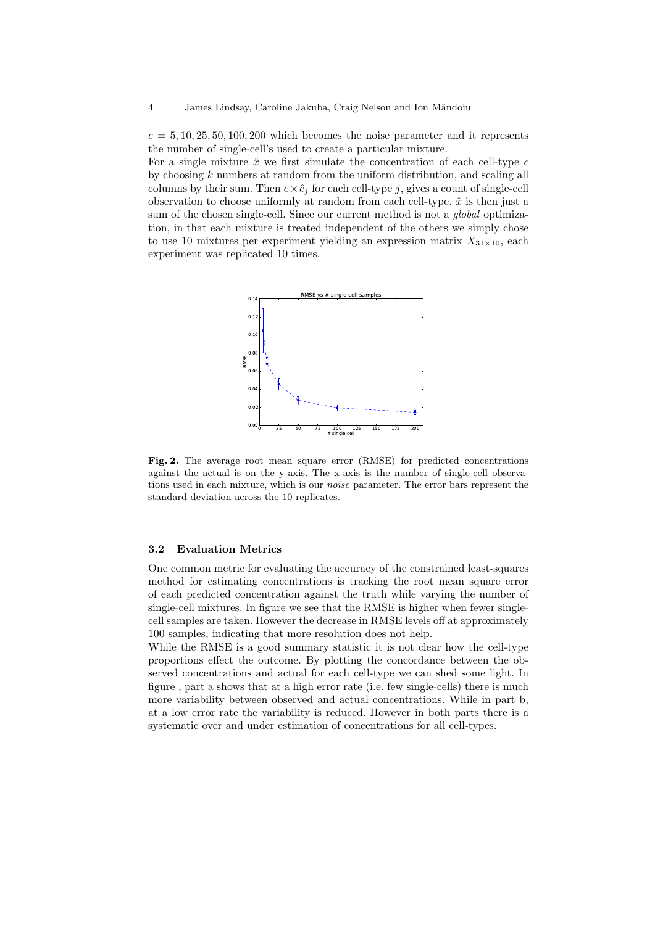$e = 5, 10, 25, 50, 100, 200$  which becomes the noise parameter and it represents the number of single-cell's used to create a particular mixture.

For a single mixture  $\hat{x}$  we first simulate the concentration of each cell-type  $c$ by choosing  $k$  numbers at random from the uniform distribution, and scaling all columns by their sum. Then  $e \times \hat{c}_j$  for each cell-type j, gives a count of single-cell observation to choose uniformly at random from each cell-type.  $\hat{x}$  is then just a sum of the chosen single-cell. Since our current method is not a *global* optimization, in that each mixture is treated independent of the others we simply chose to use 10 mixtures per experiment yielding an expression matrix  $X_{31\times10}$ , each experiment was replicated 10 times.



Fig. 2. The average root mean square error (RMSE) for predicted concentrations against the actual is on the y-axis. The x-axis is the number of single-cell observations used in each mixture, which is our *noise* parameter. The error bars represent the standard deviation across the 10 replicates.

#### 3.2 Evaluation Metrics

One common metric for evaluating the accuracy of the constrained least-squares method for estimating concentrations is tracking the root mean square error of each predicted concentration against the truth while varying the number of single-cell mixtures. In figure we see that the RMSE is higher when fewer singlecell samples are taken. However the decrease in RMSE levels off at approximately 100 samples, indicating that more resolution does not help.

While the RMSE is a good summary statistic it is not clear how the cell-type proportions effect the outcome. By plotting the concordance between the observed concentrations and actual for each cell-type we can shed some light. In figure , part a shows that at a high error rate (i.e. few single-cells) there is much more variability between observed and actual concentrations. While in part b, at a low error rate the variability is reduced. However in both parts there is a systematic over and under estimation of concentrations for all cell-types.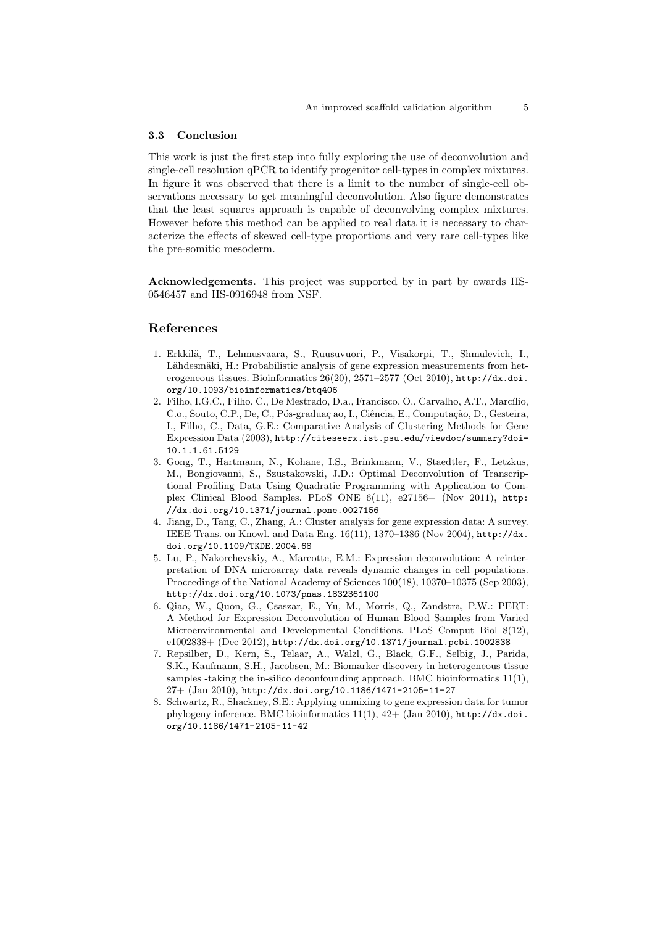#### 3.3 Conclusion

This work is just the first step into fully exploring the use of deconvolution and single-cell resolution qPCR to identify progenitor cell-types in complex mixtures. In figure it was observed that there is a limit to the number of single-cell observations necessary to get meaningful deconvolution. Also figure demonstrates that the least squares approach is capable of deconvolving complex mixtures. However before this method can be applied to real data it is necessary to characterize the effects of skewed cell-type proportions and very rare cell-types like the pre-somitic mesoderm.

Acknowledgements. This project was supported by in part by awards IIS-0546457 and IIS-0916948 from NSF.

## References

- 1. Erkkil¨a, T., Lehmusvaara, S., Ruusuvuori, P., Visakorpi, T., Shmulevich, I., Lähdesmäki, H.: Probabilistic analysis of gene expression measurements from heterogeneous tissues. Bioinformatics 26(20), 2571–2577 (Oct 2010), http://dx.doi. org/10.1093/bioinformatics/btq406
- 2. Filho, I.G.C., Filho, C., De Mestrado, D.a., Francisco, O., Carvalho, A.T., Marcílio, C.o., Souto, C.P., De, C., Pós-graduaç ao, I., Ciência, E., Computação, D., Gesteira, I., Filho, C., Data, G.E.: Comparative Analysis of Clustering Methods for Gene Expression Data (2003), http://citeseerx.ist.psu.edu/viewdoc/summary?doi= 10.1.1.61.5129
- 3. Gong, T., Hartmann, N., Kohane, I.S., Brinkmann, V., Staedtler, F., Letzkus, M., Bongiovanni, S., Szustakowski, J.D.: Optimal Deconvolution of Transcriptional Profiling Data Using Quadratic Programming with Application to Complex Clinical Blood Samples. PLoS ONE 6(11), e27156+ (Nov 2011), http: //dx.doi.org/10.1371/journal.pone.0027156
- 4. Jiang, D., Tang, C., Zhang, A.: Cluster analysis for gene expression data: A survey. IEEE Trans. on Knowl. and Data Eng. 16(11), 1370–1386 (Nov 2004), http://dx. doi.org/10.1109/TKDE.2004.68
- 5. Lu, P., Nakorchevskiy, A., Marcotte, E.M.: Expression deconvolution: A reinterpretation of DNA microarray data reveals dynamic changes in cell populations. Proceedings of the National Academy of Sciences 100(18), 10370–10375 (Sep 2003), http://dx.doi.org/10.1073/pnas.1832361100
- 6. Qiao, W., Quon, G., Csaszar, E., Yu, M., Morris, Q., Zandstra, P.W.: PERT: A Method for Expression Deconvolution of Human Blood Samples from Varied Microenvironmental and Developmental Conditions. PLoS Comput Biol 8(12), e1002838+ (Dec 2012), http://dx.doi.org/10.1371/journal.pcbi.1002838
- 7. Repsilber, D., Kern, S., Telaar, A., Walzl, G., Black, G.F., Selbig, J., Parida, S.K., Kaufmann, S.H., Jacobsen, M.: Biomarker discovery in heterogeneous tissue samples -taking the in-silico deconfounding approach. BMC bioinformatics  $11(1)$ , 27+ (Jan 2010), http://dx.doi.org/10.1186/1471-2105-11-27
- 8. Schwartz, R., Shackney, S.E.: Applying unmixing to gene expression data for tumor phylogeny inference. BMC bioinformatics 11(1), 42+ (Jan 2010), http://dx.doi. org/10.1186/1471-2105-11-42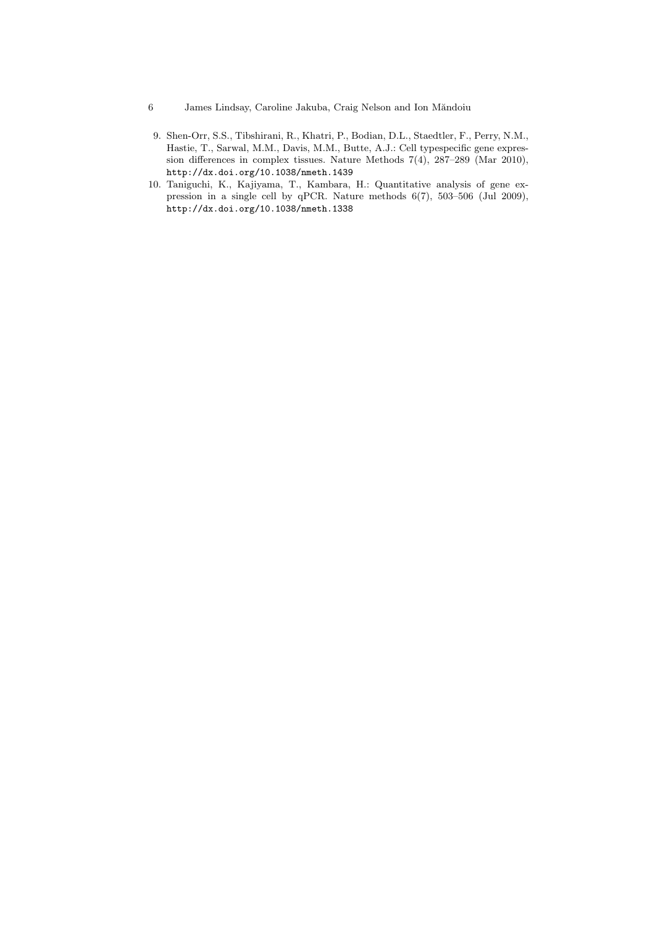- 6 James Lindsay, Caroline Jakuba, Craig Nelson and Ion Măndoiu
- 9. Shen-Orr, S.S., Tibshirani, R., Khatri, P., Bodian, D.L., Staedtler, F., Perry, N.M., Hastie, T., Sarwal, M.M., Davis, M.M., Butte, A.J.: Cell typespecific gene expression differences in complex tissues. Nature Methods 7(4), 287–289 (Mar 2010), http://dx.doi.org/10.1038/nmeth.1439
- 10. Taniguchi, K., Kajiyama, T., Kambara, H.: Quantitative analysis of gene expression in a single cell by qPCR. Nature methods 6(7), 503–506 (Jul 2009), http://dx.doi.org/10.1038/nmeth.1338